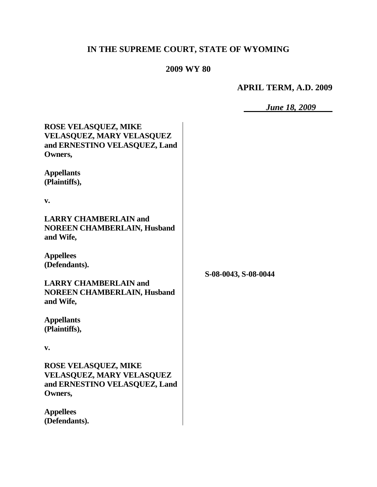# **IN THE SUPREME COURT, STATE OF WYOMING**

## **2009 WY 80**

## **APRIL TERM, A.D. 2009**

*June 18, 2009*

| <b>ROSE VELASQUEZ, MIKE</b><br><b>VELASQUEZ, MARY VELASQUEZ</b><br>and ERNESTINO VELASQUEZ, Land<br>Owners,<br><b>Appellants</b><br>(Plaintiffs), |                      |
|---------------------------------------------------------------------------------------------------------------------------------------------------|----------------------|
| v.                                                                                                                                                |                      |
| <b>LARRY CHAMBERLAIN and</b><br><b>NOREEN CHAMBERLAIN, Husband</b><br>and Wife,                                                                   |                      |
| <b>Appellees</b><br>(Defendants).                                                                                                                 |                      |
| <b>LARRY CHAMBERLAIN and</b><br><b>NOREEN CHAMBERLAIN, Husband</b><br>and Wife,                                                                   | S-08-0043, S-08-0044 |
| <b>Appellants</b><br>(Plaintiffs),                                                                                                                |                      |
| v.                                                                                                                                                |                      |
| <b>ROSE VELASQUEZ, MIKE</b><br><b>VELASQUEZ, MARY VELASQUEZ</b><br>and ERNESTINO VELASQUEZ, Land<br>Owners,                                       |                      |
| <b>Appellees</b><br>(Defendants).                                                                                                                 |                      |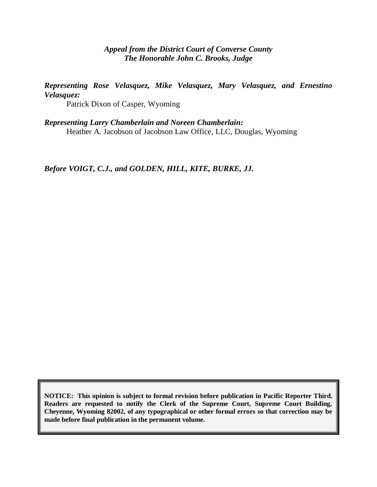#### *Appeal from the District Court of Converse County The Honorable John C. Brooks, Judge*

*Representing Rose Velasquez, Mike Velasquez, Mary Velasquez, and Ernestino Velasquez:*

Patrick Dixon of Casper, Wyoming

*Representing Larry Chamberlain and Noreen Chamberlain:* Heather A. Jacobson of Jacobson Law Office, LLC, Douglas, Wyoming

*Before VOIGT, C.J., and GOLDEN, HILL, KITE, BURKE, JJ.*

**NOTICE: This opinion is subject to formal revision before publication in Pacific Reporter Third. Readers are requested to notify the Clerk of the Supreme Court, Supreme Court Building, Cheyenne, Wyoming 82002, of any typographical or other formal errors so that correction may be made before final publication in the permanent volume.**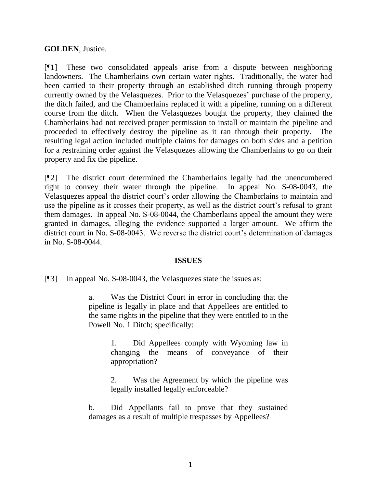#### **GOLDEN**, Justice.

[¶1] These two consolidated appeals arise from a dispute between neighboring landowners. The Chamberlains own certain water rights. Traditionally, the water had been carried to their property through an established ditch running through property currently owned by the Velasquezes. Prior to the Velasquezes' purchase of the property, the ditch failed, and the Chamberlains replaced it with a pipeline, running on a different course from the ditch. When the Velasquezes bought the property, they claimed the Chamberlains had not received proper permission to install or maintain the pipeline and proceeded to effectively destroy the pipeline as it ran through their property. The resulting legal action included multiple claims for damages on both sides and a petition for a restraining order against the Velasquezes allowing the Chamberlains to go on their property and fix the pipeline.

[¶2] The district court determined the Chamberlains legally had the unencumbered right to convey their water through the pipeline. In appeal No. S-08-0043, the Velasquezes appeal the district court's order allowing the Chamberlains to maintain and use the pipeline as it crosses their property, as well as the district court's refusal to grant them damages. In appeal No. S-08-0044, the Chamberlains appeal the amount they were granted in damages, alleging the evidence supported a larger amount. We affirm the district court in No. S-08-0043. We reverse the district court's determination of damages in No. S-08-0044.

#### **ISSUES**

[¶3] In appeal No. S-08-0043, the Velasquezes state the issues as:

a. Was the District Court in error in concluding that the pipeline is legally in place and that Appellees are entitled to the same rights in the pipeline that they were entitled to in the Powell No. 1 Ditch; specifically:

> 1. Did Appellees comply with Wyoming law in changing the means of conveyance of their appropriation?

> 2. Was the Agreement by which the pipeline was legally installed legally enforceable?

b. Did Appellants fail to prove that they sustained damages as a result of multiple trespasses by Appellees?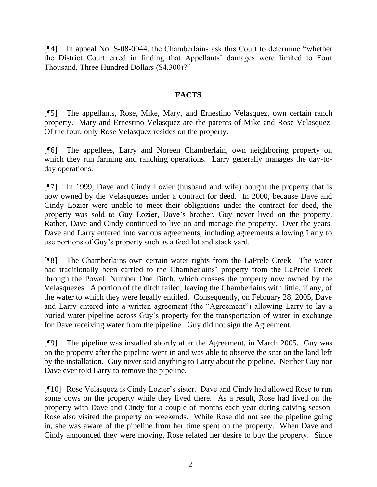[¶4] In appeal No. S-08-0044, the Chamberlains ask this Court to determine "whether the District Court erred in finding that Appellants' damages were limited to Four Thousand, Three Hundred Dollars (\$4,300)?"

## **FACTS**

[¶5] The appellants, Rose, Mike, Mary, and Ernestino Velasquez, own certain ranch property. Mary and Ernestino Velasquez are the parents of Mike and Rose Velasquez. Of the four, only Rose Velasquez resides on the property.

[¶6] The appellees, Larry and Noreen Chamberlain, own neighboring property on which they run farming and ranching operations. Larry generally manages the day-today operations.

[¶7] In 1999, Dave and Cindy Lozier (husband and wife) bought the property that is now owned by the Velasquezes under a contract for deed. In 2000, because Dave and Cindy Lozier were unable to meet their obligations under the contract for deed, the property was sold to Guy Lozier, Dave's brother. Guy never lived on the property. Rather, Dave and Cindy continued to live on and manage the property. Over the years, Dave and Larry entered into various agreements, including agreements allowing Larry to use portions of Guy's property such as a feed lot and stack yard.

[¶8] The Chamberlains own certain water rights from the LaPrele Creek. The water had traditionally been carried to the Chamberlains' property from the LaPrele Creek through the Powell Number One Ditch, which crosses the property now owned by the Velasquezes. A portion of the ditch failed, leaving the Chamberlains with little, if any, of the water to which they were legally entitled. Consequently, on February 28, 2005, Dave and Larry entered into a written agreement (the "Agreement") allowing Larry to lay a buried water pipeline across Guy's property for the transportation of water in exchange for Dave receiving water from the pipeline. Guy did not sign the Agreement.

[¶9] The pipeline was installed shortly after the Agreement, in March 2005. Guy was on the property after the pipeline went in and was able to observe the scar on the land left by the installation. Guy never said anything to Larry about the pipeline. Neither Guy nor Dave ever told Larry to remove the pipeline.

[¶10] Rose Velasquez is Cindy Lozier's sister. Dave and Cindy had allowed Rose to run some cows on the property while they lived there. As a result, Rose had lived on the property with Dave and Cindy for a couple of months each year during calving season. Rose also visited the property on weekends. While Rose did not see the pipeline going in, she was aware of the pipeline from her time spent on the property. When Dave and Cindy announced they were moving, Rose related her desire to buy the property. Since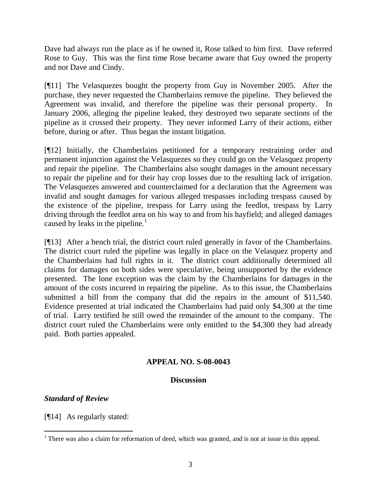Dave had always run the place as if he owned it, Rose talked to him first. Dave referred Rose to Guy. This was the first time Rose became aware that Guy owned the property and not Dave and Cindy.

[¶11] The Velasquezes bought the property from Guy in November 2005. After the purchase, they never requested the Chamberlains remove the pipeline. They believed the Agreement was invalid, and therefore the pipeline was their personal property. In January 2006, alleging the pipeline leaked, they destroyed two separate sections of the pipeline as it crossed their property. They never informed Larry of their actions, either before, during or after. Thus began the instant litigation.

[¶12] Initially, the Chamberlains petitioned for a temporary restraining order and permanent injunction against the Velasquezes so they could go on the Velasquez property and repair the pipeline. The Chamberlains also sought damages in the amount necessary to repair the pipeline and for their hay crop losses due to the resulting lack of irrigation. The Velasquezes answered and counterclaimed for a declaration that the Agreement was invalid and sought damages for various alleged trespasses including trespass caused by the existence of the pipeline, trespass for Larry using the feedlot, trespass by Larry driving through the feedlot area on his way to and from his hayfield; and alleged damages caused by leaks in the pipeline.<sup>1</sup>

[¶13] After a bench trial, the district court ruled generally in favor of the Chamberlains. The district court ruled the pipeline was legally in place on the Velasquez property and the Chamberlains had full rights in it. The district court additionally determined all claims for damages on both sides were speculative, being unsupported by the evidence presented. The lone exception was the claim by the Chamberlains for damages in the amount of the costs incurred in repairing the pipeline. As to this issue, the Chamberlains submitted a bill from the company that did the repairs in the amount of \$11,540. Evidence presented at trial indicated the Chamberlains had paid only \$4,300 at the time of trial. Larry testified he still owed the remainder of the amount to the company. The district court ruled the Chamberlains were only entitled to the \$4,300 they had already paid. Both parties appealed.

## **APPEAL NO. S-08-0043**

## **Discussion**

## *Standard of Review*

[¶14] As regularly stated:

 $\overline{a}$ <sup>1</sup> There was also a claim for reformation of deed, which was granted, and is not at issue in this appeal.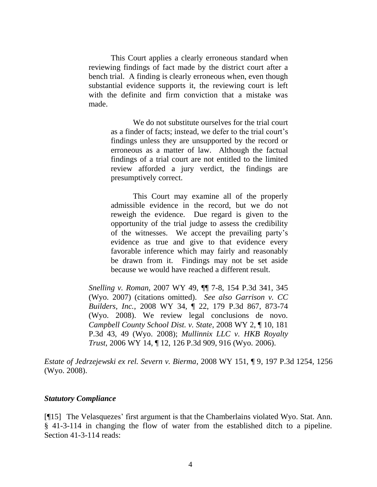This Court applies a clearly erroneous standard when reviewing findings of fact made by the district court after a bench trial. A finding is clearly erroneous when, even though substantial evidence supports it, the reviewing court is left with the definite and firm conviction that a mistake was made.

> We do not substitute ourselves for the trial court as a finder of facts; instead, we defer to the trial court's findings unless they are unsupported by the record or erroneous as a matter of law. Although the factual findings of a trial court are not entitled to the limited review afforded a jury verdict, the findings are presumptively correct.

> This Court may examine all of the properly admissible evidence in the record, but we do not reweigh the evidence. Due regard is given to the opportunity of the trial judge to assess the credibility of the witnesses. We accept the prevailing party's evidence as true and give to that evidence every favorable inference which may fairly and reasonably be drawn from it. Findings may not be set aside because we would have reached a different result.

*Snelling v. Roman*, 2007 WY 49, ¶¶ 7-8, 154 P.3d 341, 345 (Wyo. 2007) (citations omitted). *See also Garrison v. CC Builders, Inc.*, 2008 WY 34, ¶ 22, 179 P.3d 867, 873-74 (Wyo. 2008). We review legal conclusions de novo. *Campbell County School Dist. v. State*, 2008 WY 2, ¶ 10, 181 P.3d 43, 49 (Wyo. 2008); *Mullinnix LLC v. HKB Royalty Trust*, 2006 WY 14, ¶ 12, 126 P.3d 909, 916 (Wyo. 2006).

*Estate of Jedrzejewski ex rel. Severn v. Bierma*, 2008 WY 151, ¶ 9, 197 P.3d 1254, 1256 (Wyo. 2008).

#### *Statutory Compliance*

[¶15] The Velasquezes' first argument is that the Chamberlains violated Wyo. Stat. Ann. § 41-3-114 in changing the flow of water from the established ditch to a pipeline. Section 41-3-114 reads: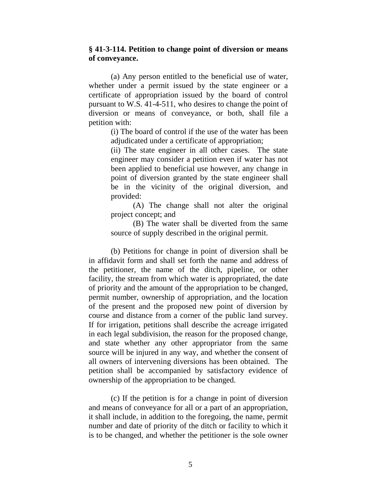#### **§ 41-3-114. Petition to change point of diversion or means of conveyance.**

(a) Any person entitled to the beneficial use of water, whether under a permit issued by the state engineer or a certificate of appropriation issued by the board of control pursuant to W.S. 41-4-511, who desires to change the point of diversion or means of conveyance, or both, shall file a petition with:

> (i) The board of control if the use of the water has been adjudicated under a certificate of appropriation;

> (ii) The state engineer in all other cases. The state engineer may consider a petition even if water has not been applied to beneficial use however, any change in point of diversion granted by the state engineer shall be in the vicinity of the original diversion, and provided:

> (A) The change shall not alter the original project concept; and

> (B) The water shall be diverted from the same source of supply described in the original permit.

(b) Petitions for change in point of diversion shall be in affidavit form and shall set forth the name and address of the petitioner, the name of the ditch, pipeline, or other facility, the stream from which water is appropriated, the date of priority and the amount of the appropriation to be changed, permit number, ownership of appropriation, and the location of the present and the proposed new point of diversion by course and distance from a corner of the public land survey. If for irrigation, petitions shall describe the acreage irrigated in each legal subdivision, the reason for the proposed change, and state whether any other appropriator from the same source will be injured in any way, and whether the consent of all owners of intervening diversions has been obtained. The petition shall be accompanied by satisfactory evidence of ownership of the appropriation to be changed.

(c) If the petition is for a change in point of diversion and means of conveyance for all or a part of an appropriation, it shall include, in addition to the foregoing, the name, permit number and date of priority of the ditch or facility to which it is to be changed, and whether the petitioner is the sole owner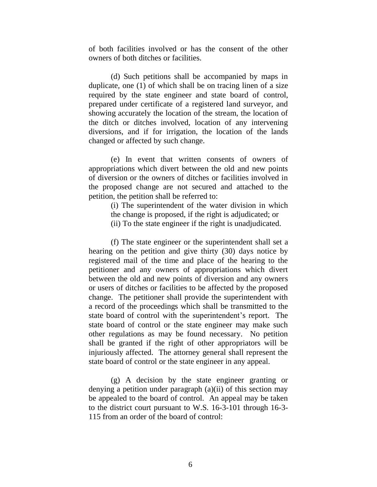of both facilities involved or has the consent of the other owners of both ditches or facilities.

(d) Such petitions shall be accompanied by maps in duplicate, one (1) of which shall be on tracing linen of a size required by the state engineer and state board of control, prepared under certificate of a registered land surveyor, and showing accurately the location of the stream, the location of the ditch or ditches involved, location of any intervening diversions, and if for irrigation, the location of the lands changed or affected by such change.

(e) In event that written consents of owners of appropriations which divert between the old and new points of diversion or the owners of ditches or facilities involved in the proposed change are not secured and attached to the petition, the petition shall be referred to:

> (i) The superintendent of the water division in which the change is proposed, if the right is adjudicated; or (ii) To the state engineer if the right is unadjudicated.

(f) The state engineer or the superintendent shall set a hearing on the petition and give thirty (30) days notice by registered mail of the time and place of the hearing to the petitioner and any owners of appropriations which divert between the old and new points of diversion and any owners or users of ditches or facilities to be affected by the proposed change. The petitioner shall provide the superintendent with a record of the proceedings which shall be transmitted to the state board of control with the superintendent's report. The state board of control or the state engineer may make such other regulations as may be found necessary. No petition shall be granted if the right of other appropriators will be injuriously affected. The attorney general shall represent the state board of control or the state engineer in any appeal.

(g) A decision by the state engineer granting or denying a petition under paragraph (a)(ii) of this section may be appealed to the board of control. An appeal may be taken to the district court pursuant to W.S. 16-3-101 through 16-3- 115 from an order of the board of control: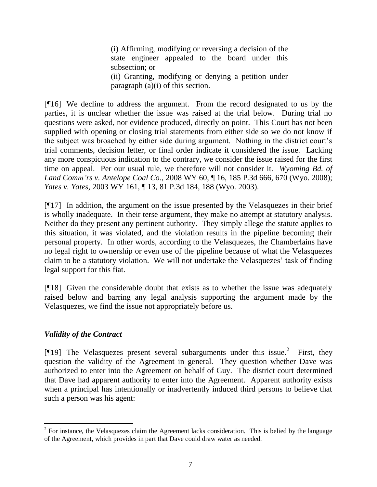(i) Affirming, modifying or reversing a decision of the state engineer appealed to the board under this subsection; or

(ii) Granting, modifying or denying a petition under paragraph (a)(i) of this section.

[¶16] We decline to address the argument. From the record designated to us by the parties, it is unclear whether the issue was raised at the trial below. During trial no questions were asked, nor evidence produced, directly on point. This Court has not been supplied with opening or closing trial statements from either side so we do not know if the subject was broached by either side during argument. Nothing in the district court's trial comments, decision letter, or final order indicate it considered the issue. Lacking any more conspicuous indication to the contrary, we consider the issue raised for the first time on appeal. Per our usual rule, we therefore will not consider it. *Wyoming Bd. of Land Comm'rs v. Antelope Coal Co.*, 2008 WY 60, ¶ 16, 185 P.3d 666, 670 (Wyo. 2008); *Yates v. Yates*, 2003 WY 161, ¶ 13, 81 P.3d 184, 188 (Wyo. 2003).

[¶17] In addition, the argument on the issue presented by the Velasquezes in their brief is wholly inadequate. In their terse argument, they make no attempt at statutory analysis. Neither do they present any pertinent authority. They simply allege the statute applies to this situation, it was violated, and the violation results in the pipeline becoming their personal property. In other words, according to the Velasquezes, the Chamberlains have no legal right to ownership or even use of the pipeline because of what the Velasquezes claim to be a statutory violation. We will not undertake the Velasquezes' task of finding legal support for this fiat.

[¶18] Given the considerable doubt that exists as to whether the issue was adequately raised below and barring any legal analysis supporting the argument made by the Velasquezes, we find the issue not appropriately before us.

## *Validity of the Contract*

 $\overline{a}$ 

[ $[19]$  The Velasquezes present several subarguments under this issue.<sup>2</sup> First, they question the validity of the Agreement in general. They question whether Dave was authorized to enter into the Agreement on behalf of Guy. The district court determined that Dave had apparent authority to enter into the Agreement. Apparent authority exists when a principal has intentionally or inadvertently induced third persons to believe that such a person was his agent:

 $2^2$  For instance, the Velasquezes claim the Agreement lacks consideration. This is belied by the language of the Agreement, which provides in part that Dave could draw water as needed.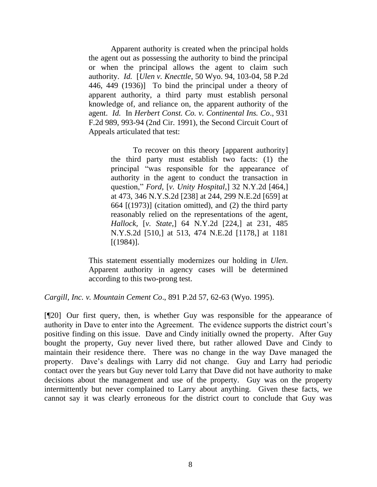Apparent authority is created when the principal holds the agent out as possessing the authority to bind the principal or when the principal allows the agent to claim such authority. *Id.* [*Ulen v. Knecttle*, 50 Wyo. 94, 103-04, 58 P.2d 446, 449 (1936)] To bind the principal under a theory of apparent authority, a third party must establish personal knowledge of, and reliance on, the apparent authority of the agent. *Id.* In *Herbert Const. Co. v. Continental Ins. Co*., 931 F.2d 989, 993-94 (2nd Cir. 1991), the Second Circuit Court of Appeals articulated that test:

> To recover on this theory [apparent authority] the third party must establish two facts: (1) the principal "was responsible for the appearance of authority in the agent to conduct the transaction in question," *Ford,* [*v. Unity Hospital*,] 32 N.Y.2d [464,] at 473, 346 N.Y.S.2d [238] at 244, 299 N.E.2d [659] at 664 [(1973)] (citation omitted), and (2) the third party reasonably relied on the representations of the agent, *Hallock,* [*v. State*,] 64 N.Y.2d [224,] at 231, 485 N.Y.S.2d [510,] at 513, 474 N.E.2d [1178,] at 1181 [(1984)].

This statement essentially modernizes our holding in *Ulen*. Apparent authority in agency cases will be determined according to this two-prong test.

*Cargill, Inc. v. Mountain Cement Co*., 891 P.2d 57, 62-63 (Wyo. 1995).

[¶20] Our first query, then, is whether Guy was responsible for the appearance of authority in Dave to enter into the Agreement. The evidence supports the district court's positive finding on this issue. Dave and Cindy initially owned the property. After Guy bought the property, Guy never lived there, but rather allowed Dave and Cindy to maintain their residence there. There was no change in the way Dave managed the property. Dave's dealings with Larry did not change. Guy and Larry had periodic contact over the years but Guy never told Larry that Dave did not have authority to make decisions about the management and use of the property. Guy was on the property intermittently but never complained to Larry about anything. Given these facts, we cannot say it was clearly erroneous for the district court to conclude that Guy was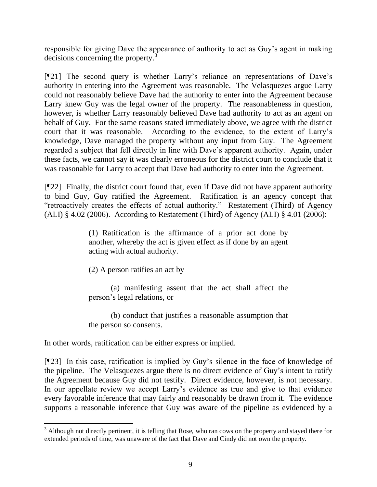responsible for giving Dave the appearance of authority to act as Guy's agent in making decisions concerning the property.<sup>3</sup>

[¶21] The second query is whether Larry's reliance on representations of Dave's authority in entering into the Agreement was reasonable. The Velasquezes argue Larry could not reasonably believe Dave had the authority to enter into the Agreement because Larry knew Guy was the legal owner of the property. The reasonableness in question, however, is whether Larry reasonably believed Dave had authority to act as an agent on behalf of Guy. For the same reasons stated immediately above, we agree with the district court that it was reasonable. According to the evidence, to the extent of Larry's knowledge, Dave managed the property without any input from Guy. The Agreement regarded a subject that fell directly in line with Dave's apparent authority. Again, under these facts, we cannot say it was clearly erroneous for the district court to conclude that it was reasonable for Larry to accept that Dave had authority to enter into the Agreement.

[¶22] Finally, the district court found that, even if Dave did not have apparent authority to bind Guy, Guy ratified the Agreement. Ratification is an agency concept that "retroactively creates the effects of actual authority." Restatement (Third) of Agency (ALI) § 4.02 (2006). According to Restatement (Third) of Agency (ALI) § 4.01 (2006):

> (1) Ratification is the affirmance of a prior act done by another, whereby the act is given effect as if done by an agent acting with actual authority.

(2) A person ratifies an act by

(a) manifesting assent that the act shall affect the person's legal relations, or

(b) conduct that justifies a reasonable assumption that the person so consents.

In other words, ratification can be either express or implied.

 $\overline{a}$ 

[¶23] In this case, ratification is implied by Guy's silence in the face of knowledge of the pipeline. The Velasquezes argue there is no direct evidence of Guy's intent to ratify the Agreement because Guy did not testify. Direct evidence, however, is not necessary. In our appellate review we accept Larry's evidence as true and give to that evidence every favorable inference that may fairly and reasonably be drawn from it. The evidence supports a reasonable inference that Guy was aware of the pipeline as evidenced by a

<sup>&</sup>lt;sup>3</sup> Although not directly pertinent, it is telling that Rose, who ran cows on the property and stayed there for extended periods of time, was unaware of the fact that Dave and Cindy did not own the property.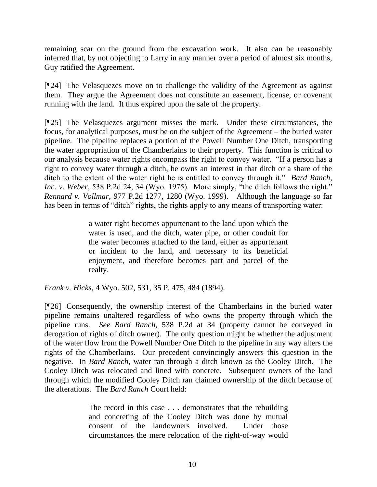remaining scar on the ground from the excavation work. It also can be reasonably inferred that, by not objecting to Larry in any manner over a period of almost six months, Guy ratified the Agreement.

[¶24] The Velasquezes move on to challenge the validity of the Agreement as against them. They argue the Agreement does not constitute an easement, license, or covenant running with the land. It thus expired upon the sale of the property.

[¶25] The Velasquezes argument misses the mark. Under these circumstances, the focus, for analytical purposes, must be on the subject of the Agreement – the buried water pipeline. The pipeline replaces a portion of the Powell Number One Ditch, transporting the water appropriation of the Chamberlains to their property. This function is critical to our analysis because water rights encompass the right to convey water. "If a person has a right to convey water through a ditch, he owns an interest in that ditch or a share of the ditch to the extent of the water right he is entitled to convey through it." *Bard Ranch, Inc. v. Weber*, 538 P.2d 24, 34 (Wyo. 1975). More simply, "the ditch follows the right." *Rennard v. Vollmar*, 977 P.2d 1277, 1280 (Wyo. 1999). Although the language so far has been in terms of "ditch" rights, the rights apply to any means of transporting water:

> a water right becomes appurtenant to the land upon which the water is used, and the ditch, water pipe, or other conduit for the water becomes attached to the land, either as appurtenant or incident to the land, and necessary to its beneficial enjoyment, and therefore becomes part and parcel of the realty.

*Frank v. Hicks*, 4 Wyo. 502, 531, 35 P. 475, 484 (1894).

[¶26] Consequently, the ownership interest of the Chamberlains in the buried water pipeline remains unaltered regardless of who owns the property through which the pipeline runs. *See Bard Ranch*, 538 P.2d at 34 (property cannot be conveyed in derogation of rights of ditch owner). The only question might be whether the adjustment of the water flow from the Powell Number One Ditch to the pipeline in any way alters the rights of the Chamberlains. Our precedent convincingly answers this question in the negative. In *Bard Ranch*, water ran through a ditch known as the Cooley Ditch. The Cooley Ditch was relocated and lined with concrete. Subsequent owners of the land through which the modified Cooley Ditch ran claimed ownership of the ditch because of the alterations. The *Bard Ranch* Court held:

> The record in this case . . . demonstrates that the rebuilding and concreting of the Cooley Ditch was done by mutual consent of the landowners involved. Under those circumstances the mere relocation of the right-of-way would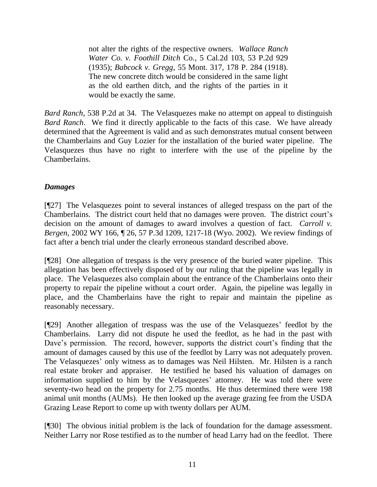not alter the rights of the respective owners. *Wallace Ranch Water Co. v. Foothill Ditch* Co., 5 Cal.2d 103, 53 P.2d 929 (1935); *Babcock v. Gregg*, 55 Mont. 317, 178 P. 284 (1918). The new concrete ditch would be considered in the same light as the old earthen ditch, and the rights of the parties in it would be exactly the same.

*Bard Ranch*, 538 P.2d at 34. The Velasquezes make no attempt on appeal to distinguish *Bard Ranch*. We find it directly applicable to the facts of this case. We have already determined that the Agreement is valid and as such demonstrates mutual consent between the Chamberlains and Guy Lozier for the installation of the buried water pipeline. The Velasquezes thus have no right to interfere with the use of the pipeline by the Chamberlains.

## *Damages*

[¶27] The Velasquezes point to several instances of alleged trespass on the part of the Chamberlains. The district court held that no damages were proven. The district court's decision on the amount of damages to award involves a question of fact. *Carroll v. Bergen*, 2002 WY 166, ¶ 26, 57 P.3d 1209, 1217-18 (Wyo. 2002). We review findings of fact after a bench trial under the clearly erroneous standard described above.

[¶28] One allegation of trespass is the very presence of the buried water pipeline. This allegation has been effectively disposed of by our ruling that the pipeline was legally in place. The Velasquezes also complain about the entrance of the Chamberlains onto their property to repair the pipeline without a court order. Again, the pipeline was legally in place, and the Chamberlains have the right to repair and maintain the pipeline as reasonably necessary.

[¶29] Another allegation of trespass was the use of the Velasquezes' feedlot by the Chamberlains. Larry did not dispute he used the feedlot, as he had in the past with Dave's permission. The record, however, supports the district court's finding that the amount of damages caused by this use of the feedlot by Larry was not adequately proven. The Velasquezes' only witness as to damages was Neil Hilsten. Mr. Hilsten is a ranch real estate broker and appraiser. He testified he based his valuation of damages on information supplied to him by the Velasquezes' attorney. He was told there were seventy-two head on the property for 2.75 months. He thus determined there were 198 animal unit months (AUMs). He then looked up the average grazing fee from the USDA Grazing Lease Report to come up with twenty dollars per AUM.

[¶30] The obvious initial problem is the lack of foundation for the damage assessment. Neither Larry nor Rose testified as to the number of head Larry had on the feedlot. There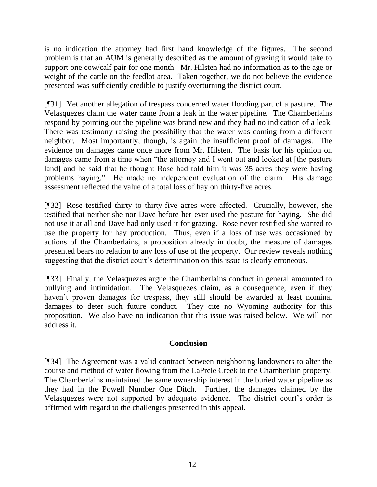is no indication the attorney had first hand knowledge of the figures. The second problem is that an AUM is generally described as the amount of grazing it would take to support one cow/calf pair for one month. Mr. Hilsten had no information as to the age or weight of the cattle on the feedlot area. Taken together, we do not believe the evidence presented was sufficiently credible to justify overturning the district court.

[¶31] Yet another allegation of trespass concerned water flooding part of a pasture. The Velasquezes claim the water came from a leak in the water pipeline. The Chamberlains respond by pointing out the pipeline was brand new and they had no indication of a leak. There was testimony raising the possibility that the water was coming from a different neighbor. Most importantly, though, is again the insufficient proof of damages. The evidence on damages came once more from Mr. Hilsten. The basis for his opinion on damages came from a time when "the attorney and I went out and looked at [the pasture land] and he said that he thought Rose had told him it was 35 acres they were having problems haying." He made no independent evaluation of the claim. His damage assessment reflected the value of a total loss of hay on thirty-five acres.

[¶32] Rose testified thirty to thirty-five acres were affected. Crucially, however, she testified that neither she nor Dave before her ever used the pasture for haying. She did not use it at all and Dave had only used it for grazing. Rose never testified she wanted to use the property for hay production. Thus, even if a loss of use was occasioned by actions of the Chamberlains, a proposition already in doubt, the measure of damages presented bears no relation to any loss of use of the property. Our review reveals nothing suggesting that the district court's determination on this issue is clearly erroneous.

[¶33] Finally, the Velasquezes argue the Chamberlains conduct in general amounted to bullying and intimidation. The Velasquezes claim, as a consequence, even if they haven't proven damages for trespass, they still should be awarded at least nominal damages to deter such future conduct. They cite no Wyoming authority for this proposition. We also have no indication that this issue was raised below. We will not address it.

## **Conclusion**

[¶34] The Agreement was a valid contract between neighboring landowners to alter the course and method of water flowing from the LaPrele Creek to the Chamberlain property. The Chamberlains maintained the same ownership interest in the buried water pipeline as they had in the Powell Number One Ditch. Further, the damages claimed by the Velasquezes were not supported by adequate evidence. The district court's order is affirmed with regard to the challenges presented in this appeal.